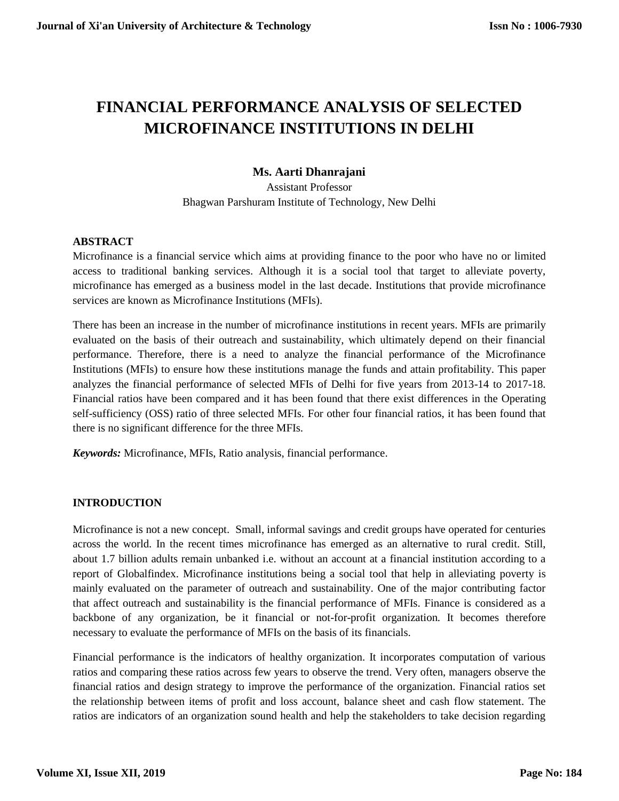# **FINANCIAL PERFORMANCE ANALYSIS OF SELECTED MICROFINANCE INSTITUTIONS IN DELHI**

# **Ms. Aarti Dhanrajani**

Assistant Professor Bhagwan Parshuram Institute of Technology, New Delhi

## **ABSTRACT**

Microfinance is a financial service which aims at providing finance to the poor who have no or limited access to traditional banking services. Although it is a social tool that target to alleviate poverty, microfinance has emerged as a business model in the last decade. Institutions that provide microfinance services are known as Microfinance Institutions (MFIs).

There has been an increase in the number of microfinance institutions in recent years. MFIs are primarily evaluated on the basis of their outreach and sustainability, which ultimately depend on their financial performance. Therefore, there is a need to analyze the financial performance of the Microfinance Institutions (MFIs) to ensure how these institutions manage the funds and attain profitability. This paper analyzes the financial performance of selected MFIs of Delhi for five years from 2013-14 to 2017-18. Financial ratios have been compared and it has been found that there exist differences in the Operating self-sufficiency (OSS) ratio of three selected MFIs. For other four financial ratios, it has been found that there is no significant difference for the three MFIs.

*Keywords:* Microfinance, MFIs, Ratio analysis, financial performance.

## **INTRODUCTION**

Microfinance is not a new concept. Small, informal savings and credit groups have operated for centuries across the world. In the recent times microfinance has emerged as an alternative to rural credit. Still, about 1.7 billion adults remain unbanked i.e. without an account at a financial institution according to a report of Globalfindex. Microfinance institutions being a social tool that help in alleviating poverty is mainly evaluated on the parameter of outreach and sustainability. One of the major contributing factor that affect outreach and sustainability is the financial performance of MFIs. Finance is considered as a backbone of any organization, be it financial or not-for-profit organization. It becomes therefore necessary to evaluate the performance of MFIs on the basis of its financials.

Financial performance is the indicators of healthy organization. It incorporates computation of various ratios and comparing these ratios across few years to observe the trend. Very often, managers observe the financial ratios and design strategy to improve the performance of the organization. Financial ratios set the relationship between items of profit and loss account, balance sheet and cash flow statement. The ratios are indicators of an organization sound health and help the stakeholders to take decision regarding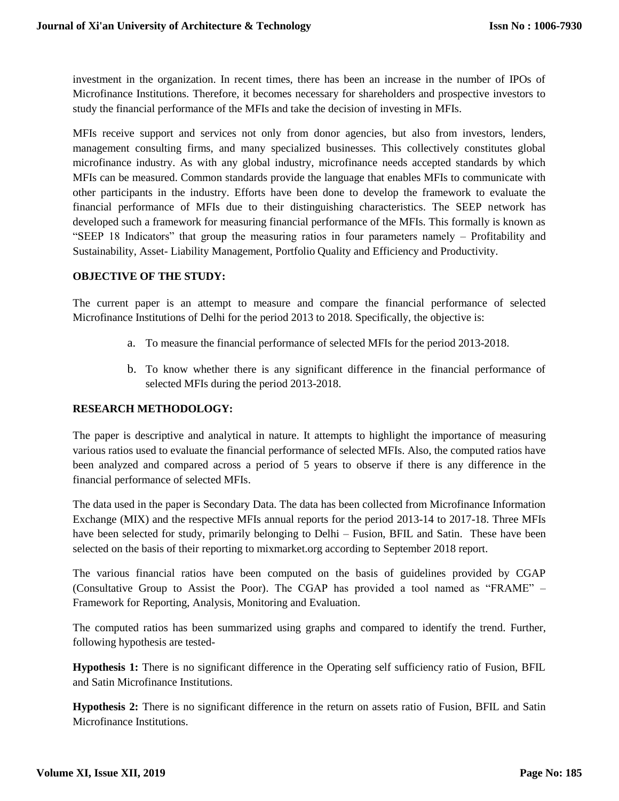investment in the organization. In recent times, there has been an increase in the number of IPOs of Microfinance Institutions. Therefore, it becomes necessary for shareholders and prospective investors to study the financial performance of the MFIs and take the decision of investing in MFIs.

MFIs receive support and services not only from donor agencies, but also from investors, lenders, management consulting firms, and many specialized businesses. This collectively constitutes global microfinance industry. As with any global industry, microfinance needs accepted standards by which MFIs can be measured. Common standards provide the language that enables MFIs to communicate with other participants in the industry. Efforts have been done to develop the framework to evaluate the financial performance of MFIs due to their distinguishing characteristics. The SEEP network has developed such a framework for measuring financial performance of the MFIs. This formally is known as "SEEP 18 Indicators" that group the measuring ratios in four parameters namely – Profitability and Sustainability, Asset- Liability Management, Portfolio Quality and Efficiency and Productivity.

## **OBJECTIVE OF THE STUDY:**

The current paper is an attempt to measure and compare the financial performance of selected Microfinance Institutions of Delhi for the period 2013 to 2018. Specifically, the objective is:

- a. To measure the financial performance of selected MFIs for the period 2013-2018.
- b. To know whether there is any significant difference in the financial performance of selected MFIs during the period 2013-2018.

## **RESEARCH METHODOLOGY:**

The paper is descriptive and analytical in nature. It attempts to highlight the importance of measuring various ratios used to evaluate the financial performance of selected MFIs. Also, the computed ratios have been analyzed and compared across a period of 5 years to observe if there is any difference in the financial performance of selected MFIs.

The data used in the paper is Secondary Data. The data has been collected from Microfinance Information Exchange (MIX) and the respective MFIs annual reports for the period 2013-14 to 2017-18. Three MFIs have been selected for study, primarily belonging to Delhi – Fusion, BFIL and Satin. These have been selected on the basis of their reporting to mixmarket.org according to September 2018 report.

The various financial ratios have been computed on the basis of guidelines provided by CGAP (Consultative Group to Assist the Poor). The CGAP has provided a tool named as "FRAME" – Framework for Reporting, Analysis, Monitoring and Evaluation.

The computed ratios has been summarized using graphs and compared to identify the trend. Further, following hypothesis are tested-

**Hypothesis 1:** There is no significant difference in the Operating self sufficiency ratio of Fusion, BFIL and Satin Microfinance Institutions.

**Hypothesis 2:** There is no significant difference in the return on assets ratio of Fusion, BFIL and Satin Microfinance Institutions.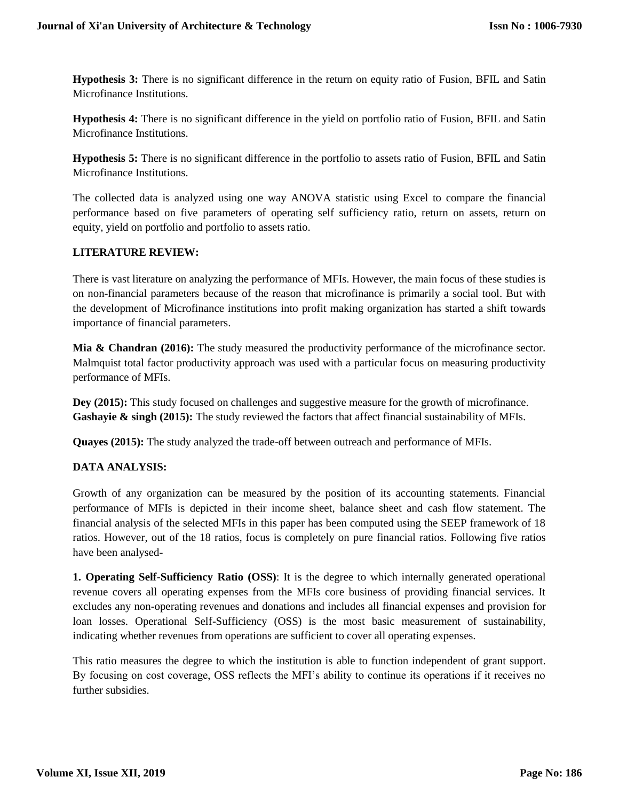**Hypothesis 3:** There is no significant difference in the return on equity ratio of Fusion, BFIL and Satin Microfinance Institutions.

**Hypothesis 4:** There is no significant difference in the yield on portfolio ratio of Fusion, BFIL and Satin Microfinance Institutions.

**Hypothesis 5:** There is no significant difference in the portfolio to assets ratio of Fusion, BFIL and Satin Microfinance Institutions.

The collected data is analyzed using one way ANOVA statistic using Excel to compare the financial performance based on five parameters of operating self sufficiency ratio, return on assets, return on equity, yield on portfolio and portfolio to assets ratio.

## **LITERATURE REVIEW:**

There is vast literature on analyzing the performance of MFIs. However, the main focus of these studies is on non-financial parameters because of the reason that microfinance is primarily a social tool. But with the development of Microfinance institutions into profit making organization has started a shift towards importance of financial parameters.

**Mia & Chandran (2016):** The study measured the productivity performance of the microfinance sector. Malmquist total factor productivity approach was used with a particular focus on measuring productivity performance of MFIs.

**Dey (2015):** This study focused on challenges and suggestive measure for the growth of microfinance. Gashayie & singh (2015): The study reviewed the factors that affect financial sustainability of MFIs.

**Quayes (2015):** The study analyzed the trade-off between outreach and performance of MFIs.

## **DATA ANALYSIS:**

Growth of any organization can be measured by the position of its accounting statements. Financial performance of MFIs is depicted in their income sheet, balance sheet and cash flow statement. The financial analysis of the selected MFIs in this paper has been computed using the SEEP framework of 18 ratios. However, out of the 18 ratios, focus is completely on pure financial ratios. Following five ratios have been analysed-

**1. Operating Self-Sufficiency Ratio (OSS)**: It is the degree to which internally generated operational revenue covers all operating expenses from the MFIs core business of providing financial services. It excludes any non-operating revenues and donations and includes all financial expenses and provision for loan losses. Operational Self-Sufficiency (OSS) is the most basic measurement of sustainability, indicating whether revenues from operations are sufficient to cover all operating expenses.

This ratio measures the degree to which the institution is able to function independent of grant support. By focusing on cost coverage, OSS reflects the MFI's ability to continue its operations if it receives no further subsidies.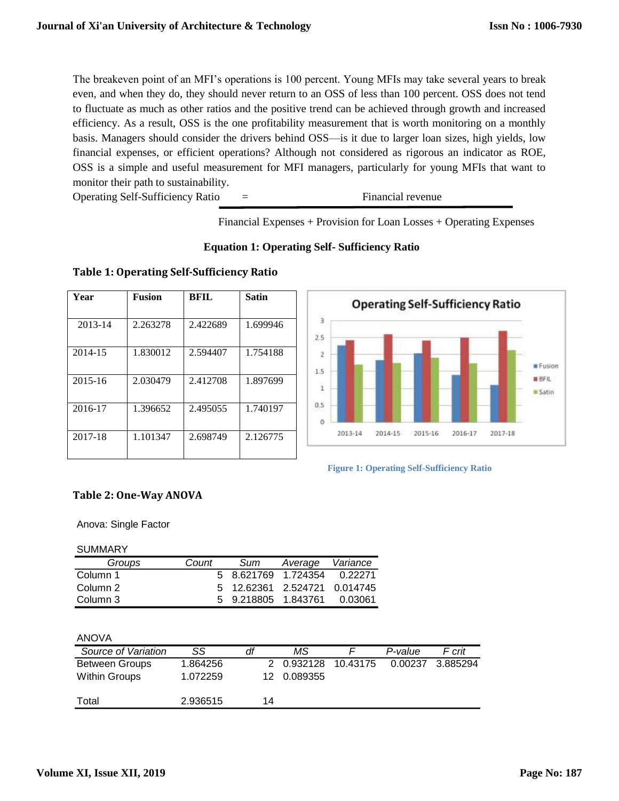The breakeven point of an MFI's operations is 100 percent. Young MFIs may take several years to break even, and when they do, they should never return to an OSS of less than 100 percent. OSS does not tend to fluctuate as much as other ratios and the positive trend can be achieved through growth and increased efficiency. As a result, OSS is the one profitability measurement that is worth monitoring on a monthly basis. Managers should consider the drivers behind OSS—is it due to larger loan sizes, high yields, low financial expenses, or efficient operations? Although not considered as rigorous an indicator as ROE, OSS is a simple and useful measurement for MFI managers, particularly for young MFIs that want to monitor their path to sustainability.

Operating Self-Sufficiency Ratio = Financial revenue

Financial Expenses + Provision for Loan Losses + Operating Expenses

|  |  | <b>Equation 1: Operating Self- Sufficiency Ratio</b> |  |  |
|--|--|------------------------------------------------------|--|--|
|  |  |                                                      |  |  |

## **Table 1: Operating Self-Sufficiency Ratio**

| Year        | <b>Fusion</b> | BFIL     | <b>Satin</b> |
|-------------|---------------|----------|--------------|
|             |               |          |              |
| 2013-14     | 2.263278      | 2.422689 | 1.699946     |
|             |               |          |              |
| 2014-15     | 1.830012      | 2.594407 | 1.754188     |
|             |               |          |              |
| $2015 - 16$ | 2.030479      | 2.412708 | 1.897699     |
|             |               |          |              |
| 2016-17     | 1.396652      | 2.495055 | 1.740197     |
|             |               |          |              |
| 2017-18     | 1.101347      | 2.698749 | 2.126775     |
|             |               |          |              |





## **Table 2: One-Way ANOVA**

Anova: Single Factor

#### SUMMARY

| Groups   | Count | Sum | Average                      | Variance |
|----------|-------|-----|------------------------------|----------|
| Column 1 |       |     | 5 8.621769 1.724354 0.22271  |          |
| Column 2 |       |     | 5 12.62361 2.524721 0.014745 |          |
| Column 3 |       |     | 5 9.218805 1.843761 0.03061  |          |

#### ANOVA

| Source of Variation   | SS       | df  | ΜS                  | P-value | F crit   |
|-----------------------|----------|-----|---------------------|---------|----------|
| <b>Between Groups</b> | 1.864256 |     | 2 0.932128 10.43175 | 0.00237 | 3.885294 |
| Within Groups         | 1.072259 | 12. | 0.089355            |         |          |
| Total                 | 2.936515 | 14  |                     |         |          |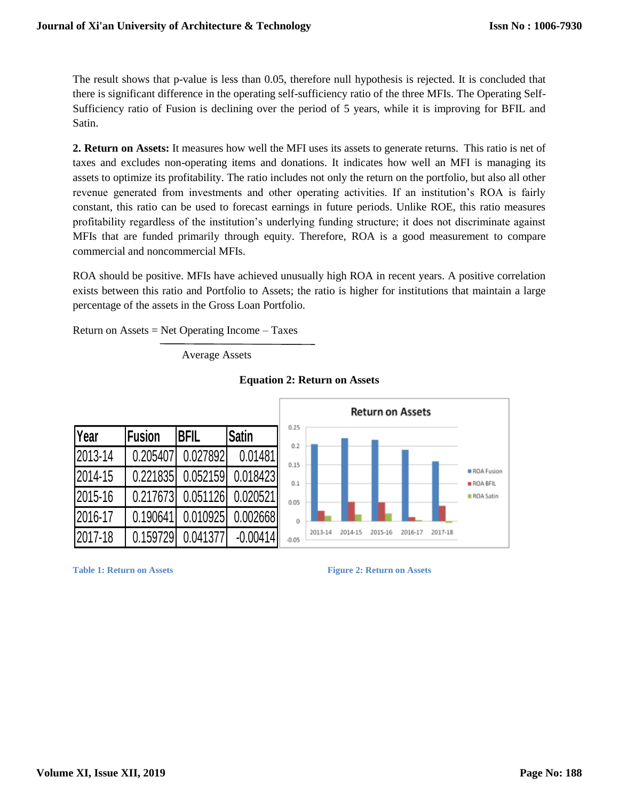The result shows that p-value is less than 0.05, therefore null hypothesis is rejected. It is concluded that there is significant difference in the operating self-sufficiency ratio of the three MFIs. The Operating Self-Sufficiency ratio of Fusion is declining over the period of 5 years, while it is improving for BFIL and Satin.

**2. Return on Assets:** It measures how well the MFI uses its assets to generate returns. This ratio is net of taxes and excludes non-operating items and donations. It indicates how well an MFI is managing its assets to optimize its profitability. The ratio includes not only the return on the portfolio, but also all other revenue generated from investments and other operating activities. If an institution's ROA is fairly constant, this ratio can be used to forecast earnings in future periods. Unlike ROE, this ratio measures profitability regardless of the institution's underlying funding structure; it does not discriminate against MFIs that are funded primarily through equity. Therefore, ROA is a good measurement to compare commercial and noncommercial MFIs.

ROA should be positive. MFIs have achieved unusually high ROA in recent years. A positive correlation exists between this ratio and Portfolio to Assets; the ratio is higher for institutions that maintain a large percentage of the assets in the Gross Loan Portfolio.

Return on Assets  $=$  Net Operating Income  $-$  Taxes

Average Assets







```
Table 1: Return on Assets Figure 2: Return on Assets
```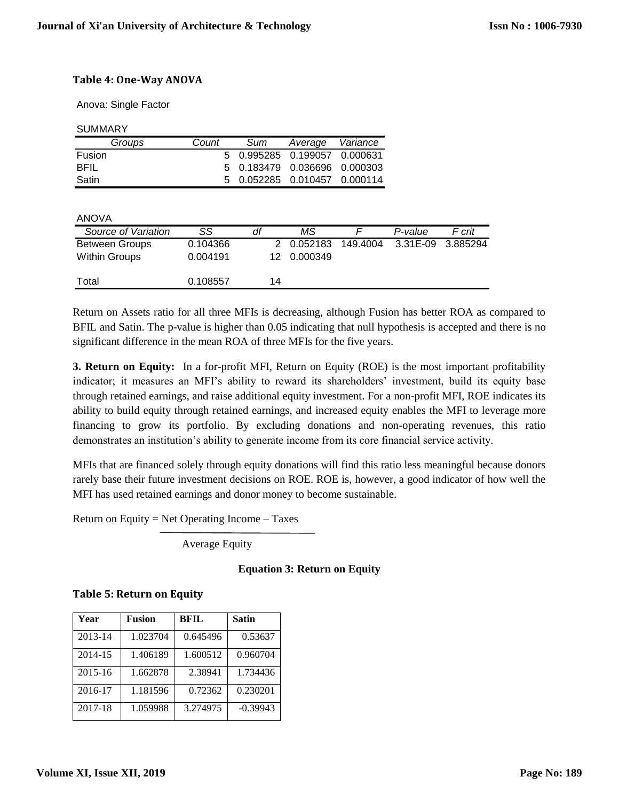## **Table 4: One-Way ANOVA**

Anova: Single Factor

**SUMMARY** 

| Groups      | Count | Sum | Average Variance             |  |
|-------------|-------|-----|------------------------------|--|
| Fusion      |       |     | 5 0.995285 0.199057 0.000631 |  |
| <b>BFIL</b> |       |     | 5 0.183479 0.036696 0.000303 |  |
| Satin       |       |     | 5 0.052285 0.010457 0.000114 |  |

ANOVA

| Source of Variation   | SS       | dt | ΜS          |          | P-value           | F crit |
|-----------------------|----------|----|-------------|----------|-------------------|--------|
| <b>Between Groups</b> | 0.104366 |    | 2 0.052183  | 149.4004 | 3.31E-09 3.885294 |        |
| Within Groups         | 0.004191 |    | 12 0.000349 |          |                   |        |
| Total                 | 0.108557 | 14 |             |          |                   |        |

Return on Assets ratio for all three MFIs is decreasing, although Fusion has better ROA as compared to BFIL and Satin. The p-value is higher than 0.05 indicating that null hypothesis is accepted and there is no significant difference in the mean ROA of three MFIs for the five years.

**3. Return on Equity:** In a for-profit MFI, Return on Equity (ROE) is the most important profitability indicator; it measures an MFI's ability to reward its shareholders' investment, build its equity base through retained earnings, and raise additional equity investment. For a non-profit MFI, ROE indicates its ability to build equity through retained earnings, and increased equity enables the MFI to leverage more financing to grow its portfolio. By excluding donations and non-operating revenues, this ratio demonstrates an institution's ability to generate income from its core financial service activity.

MFIs that are financed solely through equity donations will find this ratio less meaningful because donors rarely base their future investment decisions on ROE. ROE is, however, a good indicator of how well the MFI has used retained earnings and donor money to become sustainable.

Return on Equity = Net Operating Income – Taxes

Average Equity

## **Equation 3: Return on Equity**

|  |  | <b>Table 5: Return on Equity</b> |  |  |  |
|--|--|----------------------------------|--|--|--|
|--|--|----------------------------------|--|--|--|

| Year    | <b>Fusion</b> | <b>BFIL</b> | <b>Satin</b> |
|---------|---------------|-------------|--------------|
| 2013-14 | 1.023704      | 0.645496    | 0.53637      |
| 2014-15 | 1.406189      | 1.600512    | 0.960704     |
| 2015-16 | 1.662878      | 2.38941     | 1.734436     |
| 2016-17 | 1.181596      | 0.72362     | 0.230201     |
| 2017-18 | 1.059988      | 3.274975    | $-0.39943$   |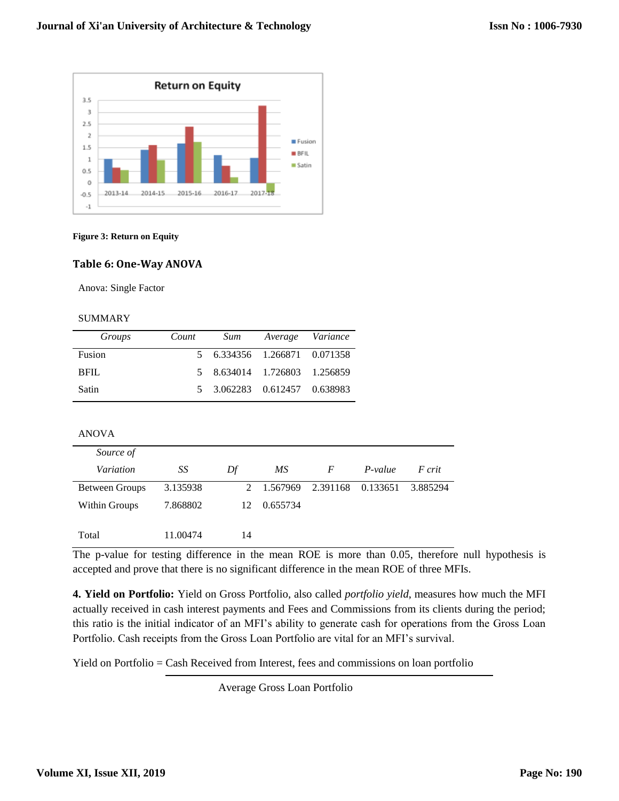

#### **Figure 3: Return on Equity**

#### **Table 6: One-Way ANOVA**

Anova: Single Factor

#### SUMMARY

| Groups | Count | Sum                          | Average Variance |
|--------|-------|------------------------------|------------------|
| Fusion |       | 5 6.334356 1.266871 0.071358 |                  |
| BFIL.  |       | 5 8.634014 1.726803 1.256859 |                  |
| Satin  |       | 5 3.062283 0.612457 0.638983 |                  |

## ANOVA

| Source of             |          |    |            |          |          |          |
|-----------------------|----------|----|------------|----------|----------|----------|
| Variation             | SS       | Df | МS         | F        | P-value  | F crit   |
| <b>Between Groups</b> | 3.135938 |    | 2 1.567969 | 2.391168 | 0.133651 | 3.885294 |
| Within Groups         | 7.868802 | 12 | 0.655734   |          |          |          |
| Total                 | 11.00474 | 14 |            |          |          |          |

The p-value for testing difference in the mean ROE is more than 0.05, therefore null hypothesis is accepted and prove that there is no significant difference in the mean ROE of three MFIs.

**4. Yield on Portfolio:** Yield on Gross Portfolio, also called *portfolio yield*, measures how much the MFI actually received in cash interest payments and Fees and Commissions from its clients during the period; this ratio is the initial indicator of an MFI's ability to generate cash for operations from the Gross Loan Portfolio. Cash receipts from the Gross Loan Portfolio are vital for an MFI's survival.

Yield on Portfolio = Cash Received from Interest, fees and commissions on loan portfolio

Average Gross Loan Portfolio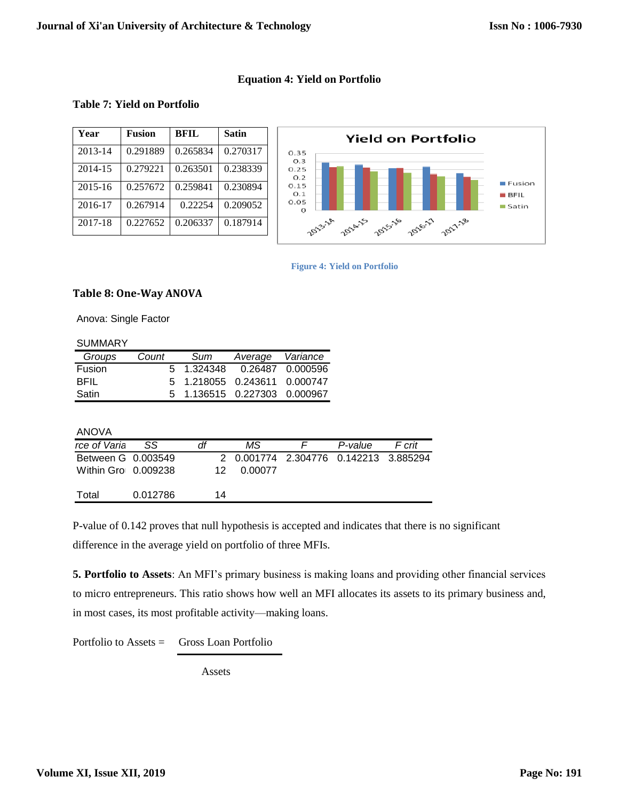## **Equation 4: Yield on Portfolio**

## **Table 7: Yield on Portfolio**

| Year        | <b>Fusion</b> | <b>BFIL</b> | <b>Satin</b> |
|-------------|---------------|-------------|--------------|
| 2013-14     | 0.291889      | 0.265834    | 0.270317     |
| 2014-15     | 0.279221      | 0.263501    | 0.238339     |
| $2015 - 16$ | 0.257672      | 0.259841    | 0.230894     |
| 2016-17     | 0.267914      | 0.22254     | 0.209052     |
| 2017-18     | 0.227652      | 0.206337    | 0.187914     |



**Figure 4: Yield on Portfolio**

## **Table 8: One-Way ANOVA**

Anova: Single Factor

| <b>SUMMARY</b> |       |          |                              |                  |
|----------------|-------|----------|------------------------------|------------------|
| Groups         | Count | Sum      | Average                      | Variance         |
| Fusion         | 5.    | 1.324348 |                              | 0.26487 0.000596 |
| <b>BFIL</b>    | 5     |          | 1.218055  0.243611  0.000747 |                  |
| Satin          | 5     |          | 1.136515  0.227303  0.000967 |                  |
|                |       |          |                              |                  |
|                |       |          |                              |                  |
| ANOVA          |       |          |                              |                  |

| rce of Varia        | SS       | df | ΜS      | P-value                               | F crit |
|---------------------|----------|----|---------|---------------------------------------|--------|
| Between G 0.003549  |          |    |         | 2 0.001774 2.304776 0.142213 3.885294 |        |
| Within Gro 0.009238 |          | 12 | 0.00077 |                                       |        |
| Total               | 0.012786 | 14 |         |                                       |        |

P-value of 0.142 proves that null hypothesis is accepted and indicates that there is no significant difference in the average yield on portfolio of three MFIs.

**5. Portfolio to Assets**: An MFI's primary business is making loans and providing other financial services to micro entrepreneurs. This ratio shows how well an MFI allocates its assets to its primary business and, in most cases, its most profitable activity—making loans.

Portfolio to Assets = Gross Loan Portfolio

Assets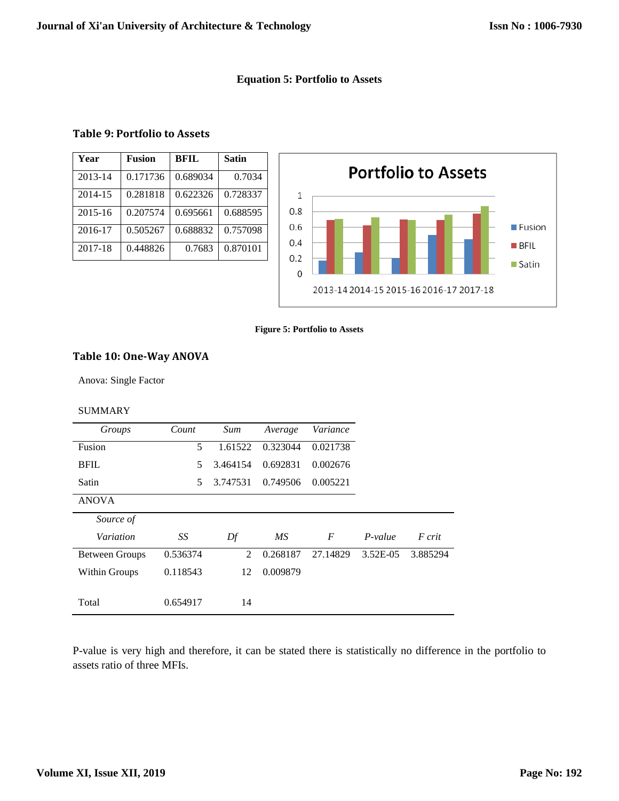## **Equation 5: Portfolio to Assets**

## **Table 9: Portfolio to Assets**

| Year        | <b>Fusion</b> | <b>BFIL</b> | <b>Satin</b> |
|-------------|---------------|-------------|--------------|
| 2013-14     | 0.171736      | 0.689034    | 0.7034       |
| 2014-15     | 0.281818      | 0.622326    | 0.728337     |
| $2015 - 16$ | 0.207574      | 0.695661    | 0.688595     |
| 2016-17     | 0.505267      | 0.688832    | 0.757098     |
| 2017-18     | 0.448826      | 0.7683      | 0.870101     |



#### **Figure 5: Portfolio to Assets**

# **Table 10: One-Way ANOVA**

Anova: Single Factor

#### SUMMARY

| Groups                | Count    | Sum           | Average  | Variance |           |          |
|-----------------------|----------|---------------|----------|----------|-----------|----------|
| Fusion                | 5        | 1.61522       | 0.323044 | 0.021738 |           |          |
| <b>BFIL</b>           | 5.       | 3.464154      | 0.692831 | 0.002676 |           |          |
| Satin                 | 5.       | 3.747531      | 0.749506 | 0.005221 |           |          |
| <b>ANOVA</b>          |          |               |          |          |           |          |
| Source of             |          |               |          |          |           |          |
| Variation             | SS       | Df            | MS       | F        | $P-value$ | F crit   |
| <b>Between Groups</b> | 0.536374 | $\mathcal{L}$ | 0.268187 | 27.14829 | 3.52E-05  | 3.885294 |
| Within Groups         | 0.118543 | 12            | 0.009879 |          |           |          |
|                       |          |               |          |          |           |          |
| Total                 | 0.654917 | 14            |          |          |           |          |

P-value is very high and therefore, it can be stated there is statistically no difference in the portfolio to assets ratio of three MFIs.